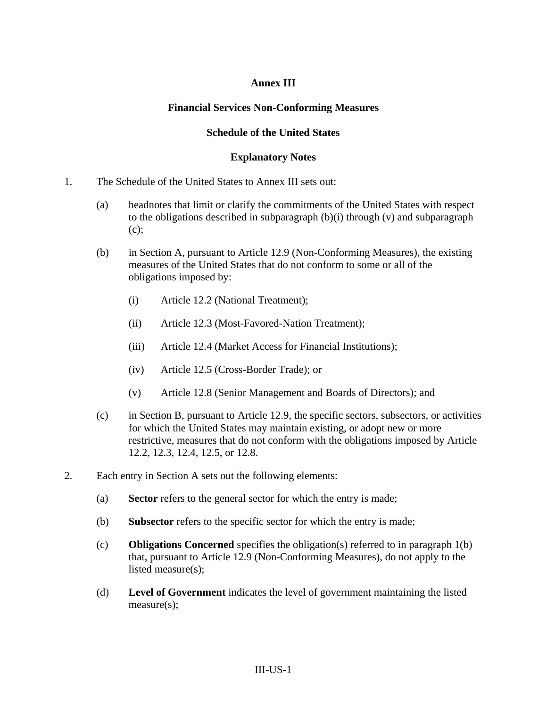## **Annex III**

### **Financial Services Non-Conforming Measures**

### **Schedule of the United States**

#### **Explanatory Notes**

- 1. The Schedule of the United States to Annex III sets out:
	- (a) headnotes that limit or clarify the commitments of the United States with respect to the obligations described in subparagraph (b)(i) through (v) and subparagraph (c);
	- (b) in Section A, pursuant to Article 12.9 (Non-Conforming Measures), the existing measures of the United States that do not conform to some or all of the obligations imposed by:
		- (i) Article 12.2 (National Treatment);
		- (ii) Article 12.3 (Most-Favored-Nation Treatment);
		- (iii) Article 12.4 (Market Access for Financial Institutions);
		- (iv) Article 12.5 (Cross-Border Trade); or
		- (v) Article 12.8 (Senior Management and Boards of Directors); and
	- (c) in Section B, pursuant to Article 12.9, the specific sectors, subsectors, or activities for which the United States may maintain existing, or adopt new or more restrictive, measures that do not conform with the obligations imposed by Article 12.2, 12.3, 12.4, 12.5, or 12.8.
- 2. Each entry in Section A sets out the following elements:
	- (a) **Sector** refers to the general sector for which the entry is made;
	- (b) **Subsector** refers to the specific sector for which the entry is made;
	- (c) **Obligations Concerned** specifies the obligation(s) referred to in paragraph 1(b) that, pursuant to Article 12.9 (Non-Conforming Measures), do not apply to the listed measure(s);
	- (d) **Level of Government** indicates the level of government maintaining the listed measure(s);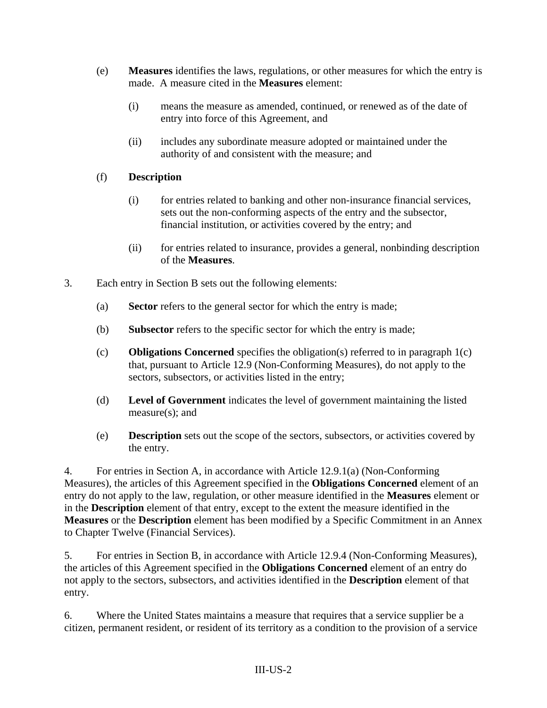- (e) **Measures** identifies the laws, regulations, or other measures for which the entry is made. A measure cited in the **Measures** element:
	- (i) means the measure as amended, continued, or renewed as of the date of entry into force of this Agreement, and
	- (ii) includes any subordinate measure adopted or maintained under the authority of and consistent with the measure; and

## (f) **Description**

- (i) for entries related to banking and other non-insurance financial services, sets out the non-conforming aspects of the entry and the subsector, financial institution, or activities covered by the entry; and
- (ii) for entries related to insurance, provides a general, nonbinding description of the **Measures**.
- 3. Each entry in Section B sets out the following elements:
	- (a) **Sector** refers to the general sector for which the entry is made;
	- (b) **Subsector** refers to the specific sector for which the entry is made;
	- (c) **Obligations Concerned** specifies the obligation(s) referred to in paragraph 1(c) that, pursuant to Article 12.9 (Non-Conforming Measures), do not apply to the sectors, subsectors, or activities listed in the entry;
	- (d) **Level of Government** indicates the level of government maintaining the listed measure(s); and
	- (e) **Description** sets out the scope of the sectors, subsectors, or activities covered by the entry.

4. For entries in Section A, in accordance with Article 12.9.1(a) (Non-Conforming Measures), the articles of this Agreement specified in the **Obligations Concerned** element of an entry do not apply to the law, regulation, or other measure identified in the **Measures** element or in the **Description** element of that entry, except to the extent the measure identified in the **Measures** or the **Description** element has been modified by a Specific Commitment in an Annex to Chapter Twelve (Financial Services).

5. For entries in Section B, in accordance with Article 12.9.4 (Non-Conforming Measures), the articles of this Agreement specified in the **Obligations Concerned** element of an entry do not apply to the sectors, subsectors, and activities identified in the **Description** element of that entry.

6. Where the United States maintains a measure that requires that a service supplier be a citizen, permanent resident, or resident of its territory as a condition to the provision of a service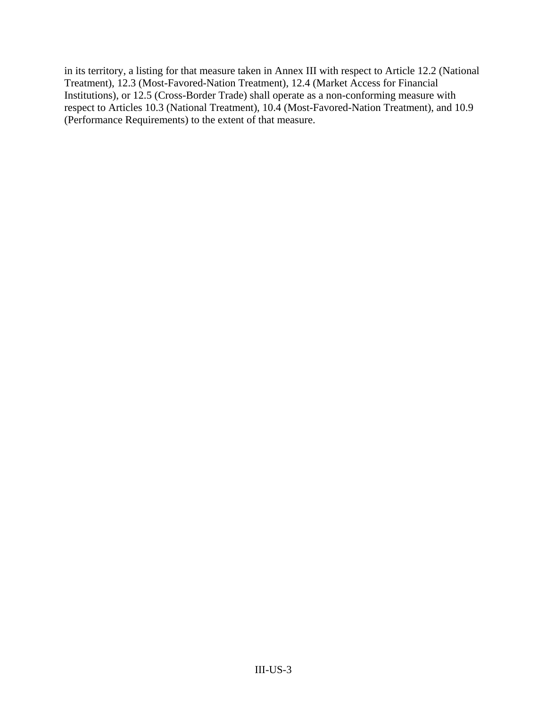in its territory, a listing for that measure taken in Annex III with respect to Article 12.2 (National Treatment), 12.3 (Most-Favored-Nation Treatment), 12.4 (Market Access for Financial Institutions), or 12.5 (Cross-Border Trade) shall operate as a non-conforming measure with respect to Articles 10.3 (National Treatment), 10.4 (Most-Favored-Nation Treatment), and 10.9 (Performance Requirements) to the extent of that measure.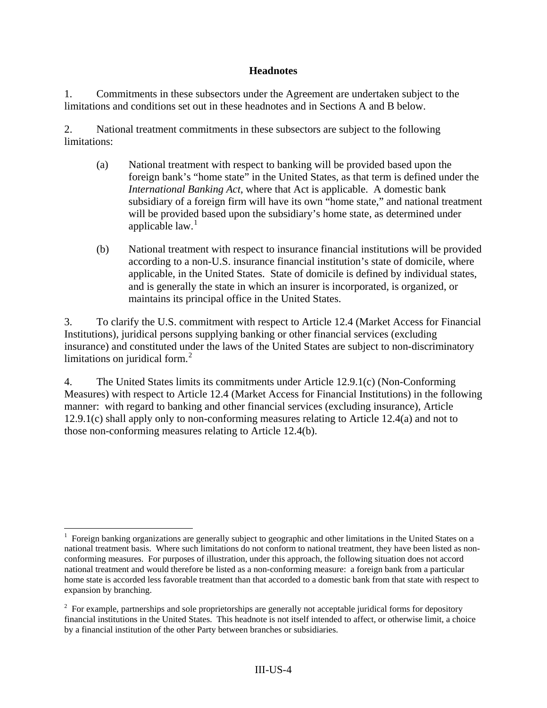### **Headnotes**

1. Commitments in these subsectors under the Agreement are undertaken subject to the limitations and conditions set out in these headnotes and in Sections A and B below.

2. National treatment commitments in these subsectors are subject to the following limitations:

- (a) National treatment with respect to banking will be provided based upon the foreign bank's "home state" in the United States, as that term is defined under the *International Banking Act*, where that Act is applicable. A domestic bank subsidiary of a foreign firm will have its own "home state," and national treatment will be provided based upon the subsidiary's home state, as determined under applicable law. $<sup>1</sup>$  $<sup>1</sup>$  $<sup>1</sup>$ </sup>
- (b) National treatment with respect to insurance financial institutions will be provided according to a non-U.S. insurance financial institution's state of domicile, where applicable, in the United States. State of domicile is defined by individual states, and is generally the state in which an insurer is incorporated, is organized, or maintains its principal office in the United States.

3. To clarify the U.S. commitment with respect to Article 12.4 (Market Access for Financial Institutions), juridical persons supplying banking or other financial services (excluding insurance) and constituted under the laws of the United States are subject to non-discriminatory limitations on juridical form. $2$ 

4. The United States limits its commitments under Article 12.9.1(c) (Non-Conforming Measures) with respect to Article 12.4 (Market Access for Financial Institutions) in the following manner: with regard to banking and other financial services (excluding insurance), Article 12.9.1(c) shall apply only to non-conforming measures relating to Article 12.4(a) and not to those non-conforming measures relating to Article 12.4(b).

 $\overline{a}$ 

<span id="page-3-0"></span><sup>&</sup>lt;sup>1</sup> Foreign banking organizations are generally subject to geographic and other limitations in the United States on a national treatment basis. Where such limitations do not conform to national treatment, they have been listed as nonconforming measures. For purposes of illustration, under this approach, the following situation does not accord national treatment and would therefore be listed as a non-conforming measure: a foreign bank from a particular home state is accorded less favorable treatment than that accorded to a domestic bank from that state with respect to expansion by branching.

<span id="page-3-1"></span> $2^2$  For example, partnerships and sole proprietorships are generally not acceptable juridical forms for depository financial institutions in the United States. This headnote is not itself intended to affect, or otherwise limit, a choice by a financial institution of the other Party between branches or subsidiaries.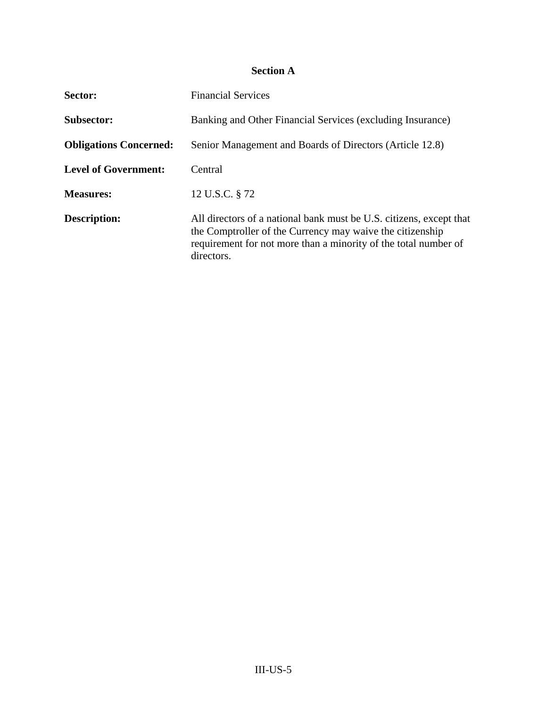# **Section A**

| Sector:                       | <b>Financial Services</b>                                                                                                                                                                                         |
|-------------------------------|-------------------------------------------------------------------------------------------------------------------------------------------------------------------------------------------------------------------|
| <b>Subsector:</b>             | Banking and Other Financial Services (excluding Insurance)                                                                                                                                                        |
| <b>Obligations Concerned:</b> | Senior Management and Boards of Directors (Article 12.8)                                                                                                                                                          |
| <b>Level of Government:</b>   | Central                                                                                                                                                                                                           |
| <b>Measures:</b>              | 12 U.S.C. § 72                                                                                                                                                                                                    |
| <b>Description:</b>           | All directors of a national bank must be U.S. citizens, except that<br>the Comptroller of the Currency may waive the citizenship<br>requirement for not more than a minority of the total number of<br>directors. |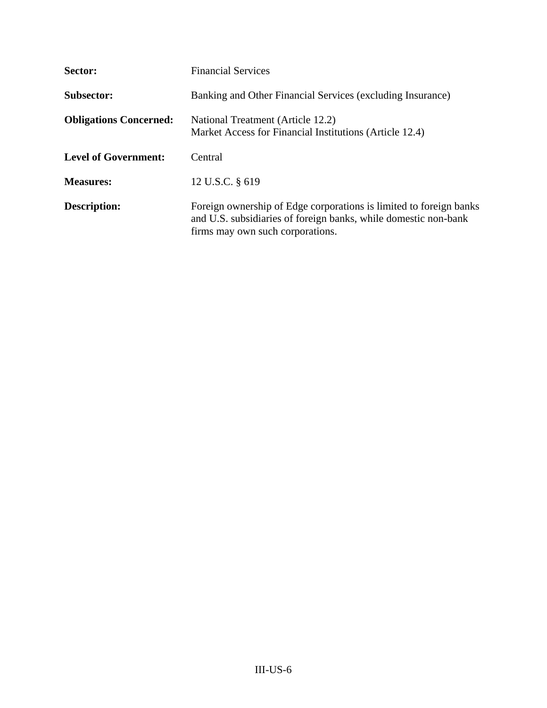| Sector:                       | <b>Financial Services</b>                                                                                                                                                 |
|-------------------------------|---------------------------------------------------------------------------------------------------------------------------------------------------------------------------|
| Subsector:                    | Banking and Other Financial Services (excluding Insurance)                                                                                                                |
| <b>Obligations Concerned:</b> | National Treatment (Article 12.2)<br>Market Access for Financial Institutions (Article 12.4)                                                                              |
| <b>Level of Government:</b>   | Central                                                                                                                                                                   |
| <b>Measures:</b>              | 12 U.S.C. § 619                                                                                                                                                           |
| <b>Description:</b>           | Foreign ownership of Edge corporations is limited to foreign banks<br>and U.S. subsidiaries of foreign banks, while domestic non-bank<br>firms may own such corporations. |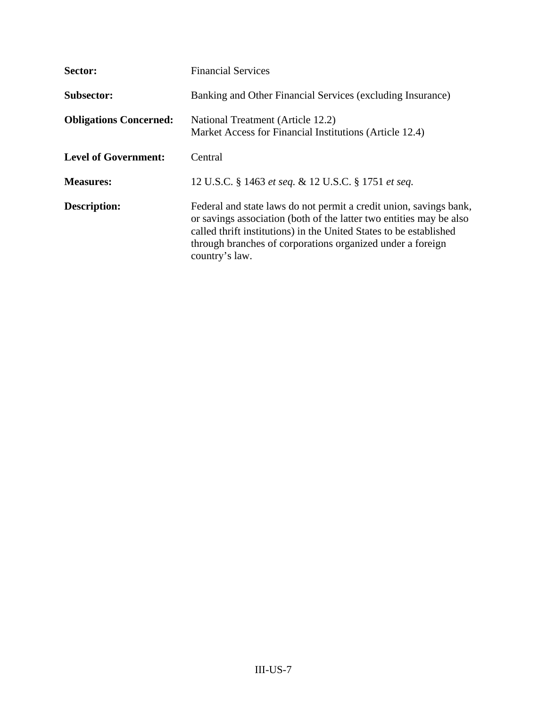| Sector:                       | <b>Financial Services</b>                                                                                                                                                                                                                                                                       |
|-------------------------------|-------------------------------------------------------------------------------------------------------------------------------------------------------------------------------------------------------------------------------------------------------------------------------------------------|
| <b>Subsector:</b>             | Banking and Other Financial Services (excluding Insurance)                                                                                                                                                                                                                                      |
| <b>Obligations Concerned:</b> | National Treatment (Article 12.2)<br>Market Access for Financial Institutions (Article 12.4)                                                                                                                                                                                                    |
| <b>Level of Government:</b>   | Central                                                                                                                                                                                                                                                                                         |
| <b>Measures:</b>              | 12 U.S.C. § 1463 et seq. & 12 U.S.C. § 1751 et seq.                                                                                                                                                                                                                                             |
| <b>Description:</b>           | Federal and state laws do not permit a credit union, savings bank,<br>or savings association (both of the latter two entities may be also<br>called thrift institutions) in the United States to be established<br>through branches of corporations organized under a foreign<br>country's law. |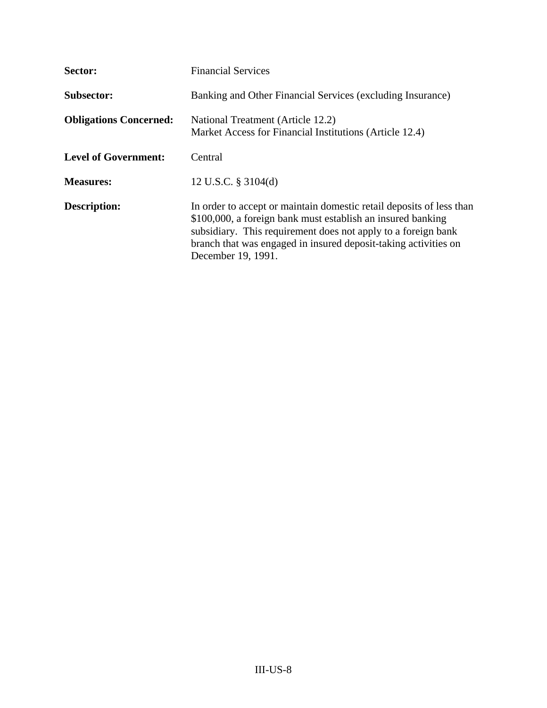| Sector:                       | <b>Financial Services</b>                                                                                                                                                                                                                                                                     |
|-------------------------------|-----------------------------------------------------------------------------------------------------------------------------------------------------------------------------------------------------------------------------------------------------------------------------------------------|
| <b>Subsector:</b>             | Banking and Other Financial Services (excluding Insurance)                                                                                                                                                                                                                                    |
| <b>Obligations Concerned:</b> | National Treatment (Article 12.2)<br>Market Access for Financial Institutions (Article 12.4)                                                                                                                                                                                                  |
| <b>Level of Government:</b>   | Central                                                                                                                                                                                                                                                                                       |
| <b>Measures:</b>              | 12 U.S.C. § 3104(d)                                                                                                                                                                                                                                                                           |
| <b>Description:</b>           | In order to accept or maintain domestic retail deposits of less than<br>\$100,000, a foreign bank must establish an insured banking<br>subsidiary. This requirement does not apply to a foreign bank<br>branch that was engaged in insured deposit-taking activities on<br>December 19, 1991. |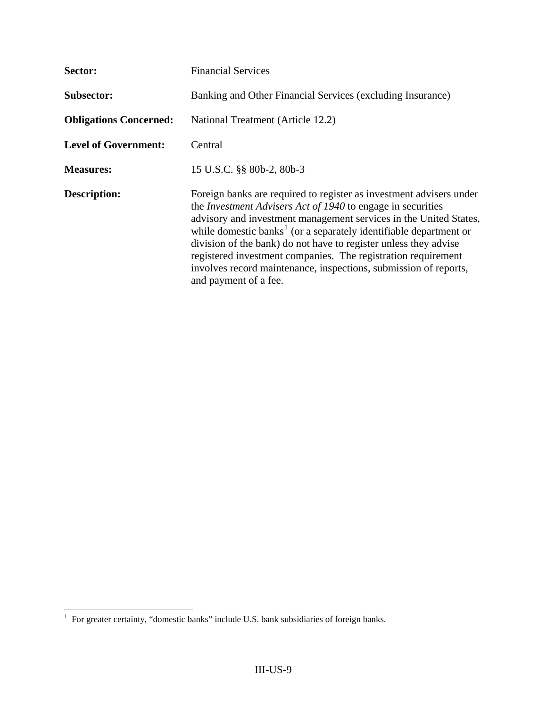| Sector:                       | <b>Financial Services</b>                                                                                                                                                                                                                                                                                                                                                                                                                                                                                                         |
|-------------------------------|-----------------------------------------------------------------------------------------------------------------------------------------------------------------------------------------------------------------------------------------------------------------------------------------------------------------------------------------------------------------------------------------------------------------------------------------------------------------------------------------------------------------------------------|
| <b>Subsector:</b>             | Banking and Other Financial Services (excluding Insurance)                                                                                                                                                                                                                                                                                                                                                                                                                                                                        |
| <b>Obligations Concerned:</b> | National Treatment (Article 12.2)                                                                                                                                                                                                                                                                                                                                                                                                                                                                                                 |
| <b>Level of Government:</b>   | Central                                                                                                                                                                                                                                                                                                                                                                                                                                                                                                                           |
| <b>Measures:</b>              | 15 U.S.C. §§ 80b-2, 80b-3                                                                                                                                                                                                                                                                                                                                                                                                                                                                                                         |
| <b>Description:</b>           | Foreign banks are required to register as investment advisers under<br>the <i>Investment Advisers Act of 1940</i> to engage in securities<br>advisory and investment management services in the United States,<br>while domestic banks <sup>1</sup> (or a separately identifiable department or<br>division of the bank) do not have to register unless they advise<br>registered investment companies. The registration requirement<br>involves record maintenance, inspections, submission of reports,<br>and payment of a fee. |

<span id="page-8-0"></span> 1 For greater certainty, "domestic banks" include U.S. bank subsidiaries of foreign banks.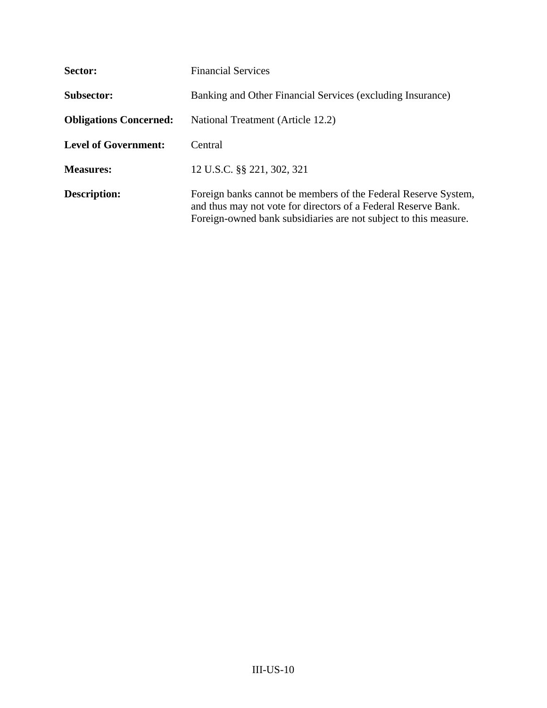| Sector:                       | <b>Financial Services</b>                                                                                                                                                                            |
|-------------------------------|------------------------------------------------------------------------------------------------------------------------------------------------------------------------------------------------------|
| <b>Subsector:</b>             | Banking and Other Financial Services (excluding Insurance)                                                                                                                                           |
| <b>Obligations Concerned:</b> | National Treatment (Article 12.2)                                                                                                                                                                    |
| <b>Level of Government:</b>   | Central                                                                                                                                                                                              |
| <b>Measures:</b>              | 12 U.S.C. §§ 221, 302, 321                                                                                                                                                                           |
| <b>Description:</b>           | Foreign banks cannot be members of the Federal Reserve System,<br>and thus may not vote for directors of a Federal Reserve Bank.<br>Foreign-owned bank subsidiaries are not subject to this measure. |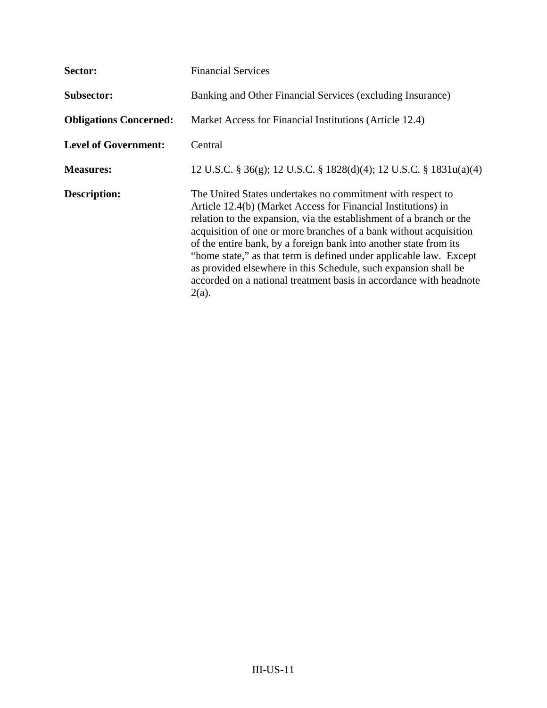| Sector:                       | <b>Financial Services</b>                                                                                                                                                                                                                                                                                                                                                                                                                                                                                                                                               |
|-------------------------------|-------------------------------------------------------------------------------------------------------------------------------------------------------------------------------------------------------------------------------------------------------------------------------------------------------------------------------------------------------------------------------------------------------------------------------------------------------------------------------------------------------------------------------------------------------------------------|
| <b>Subsector:</b>             | Banking and Other Financial Services (excluding Insurance)                                                                                                                                                                                                                                                                                                                                                                                                                                                                                                              |
| <b>Obligations Concerned:</b> | Market Access for Financial Institutions (Article 12.4)                                                                                                                                                                                                                                                                                                                                                                                                                                                                                                                 |
| <b>Level of Government:</b>   | Central                                                                                                                                                                                                                                                                                                                                                                                                                                                                                                                                                                 |
| <b>Measures:</b>              | 12 U.S.C. § 36(g); 12 U.S.C. § 1828(d)(4); 12 U.S.C. § 1831u(a)(4)                                                                                                                                                                                                                                                                                                                                                                                                                                                                                                      |
| <b>Description:</b>           | The United States undertakes no commitment with respect to<br>Article 12.4(b) (Market Access for Financial Institutions) in<br>relation to the expansion, via the establishment of a branch or the<br>acquisition of one or more branches of a bank without acquisition<br>of the entire bank, by a foreign bank into another state from its<br>"home state," as that term is defined under applicable law. Except<br>as provided elsewhere in this Schedule, such expansion shall be<br>accorded on a national treatment basis in accordance with headnote<br>$2(a)$ . |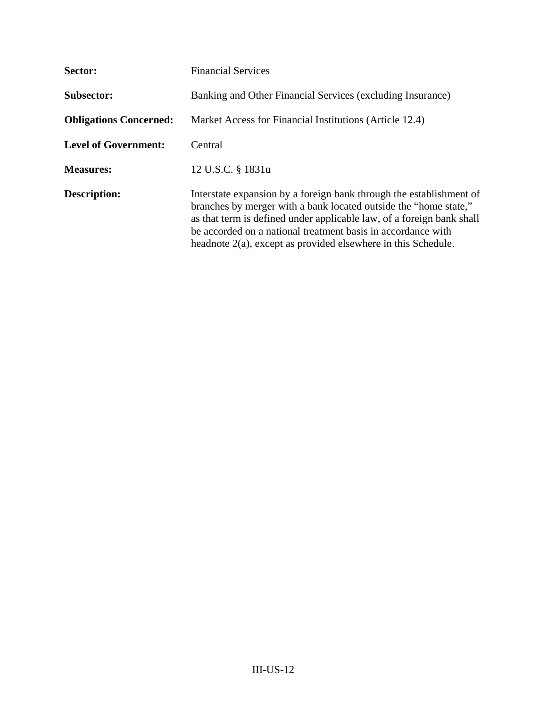| Sector:                       | <b>Financial Services</b>                                                                                                                                                                                                                                                                                                                            |
|-------------------------------|------------------------------------------------------------------------------------------------------------------------------------------------------------------------------------------------------------------------------------------------------------------------------------------------------------------------------------------------------|
| <b>Subsector:</b>             | Banking and Other Financial Services (excluding Insurance)                                                                                                                                                                                                                                                                                           |
| <b>Obligations Concerned:</b> | Market Access for Financial Institutions (Article 12.4)                                                                                                                                                                                                                                                                                              |
| <b>Level of Government:</b>   | Central                                                                                                                                                                                                                                                                                                                                              |
| <b>Measures:</b>              | 12 U.S.C. § 1831u                                                                                                                                                                                                                                                                                                                                    |
| Description:                  | Interstate expansion by a foreign bank through the establishment of<br>branches by merger with a bank located outside the "home state,"<br>as that term is defined under applicable law, of a foreign bank shall<br>be accorded on a national treatment basis in accordance with<br>headnote $2(a)$ , except as provided elsewhere in this Schedule. |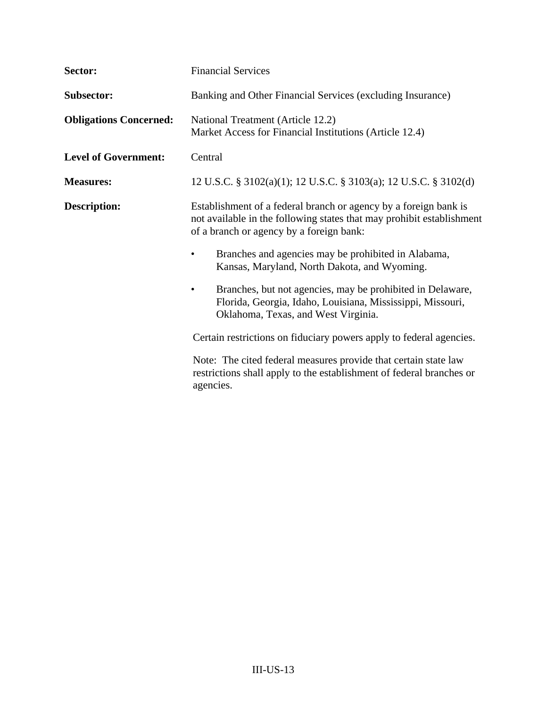| Sector:                       | <b>Financial Services</b>                                                                                                                                                             |
|-------------------------------|---------------------------------------------------------------------------------------------------------------------------------------------------------------------------------------|
| <b>Subsector:</b>             | Banking and Other Financial Services (excluding Insurance)                                                                                                                            |
| <b>Obligations Concerned:</b> | National Treatment (Article 12.2)<br>Market Access for Financial Institutions (Article 12.4)                                                                                          |
| <b>Level of Government:</b>   | Central                                                                                                                                                                               |
| <b>Measures:</b>              | 12 U.S.C. § 3102(a)(1); 12 U.S.C. § 3103(a); 12 U.S.C. § 3102(d)                                                                                                                      |
| <b>Description:</b>           | Establishment of a federal branch or agency by a foreign bank is<br>not available in the following states that may prohibit establishment<br>of a branch or agency by a foreign bank: |
|                               | Branches and agencies may be prohibited in Alabama,<br>Kansas, Maryland, North Dakota, and Wyoming.                                                                                   |
|                               | Branches, but not agencies, may be prohibited in Delaware,<br>Florida, Georgia, Idaho, Louisiana, Mississippi, Missouri,<br>Oklahoma, Texas, and West Virginia.                       |
|                               | Certain restrictions on fiduciary powers apply to federal agencies.                                                                                                                   |
|                               | Note: The cited federal measures provide that certain state law<br>restrictions shall apply to the establishment of federal branches or<br>agencies.                                  |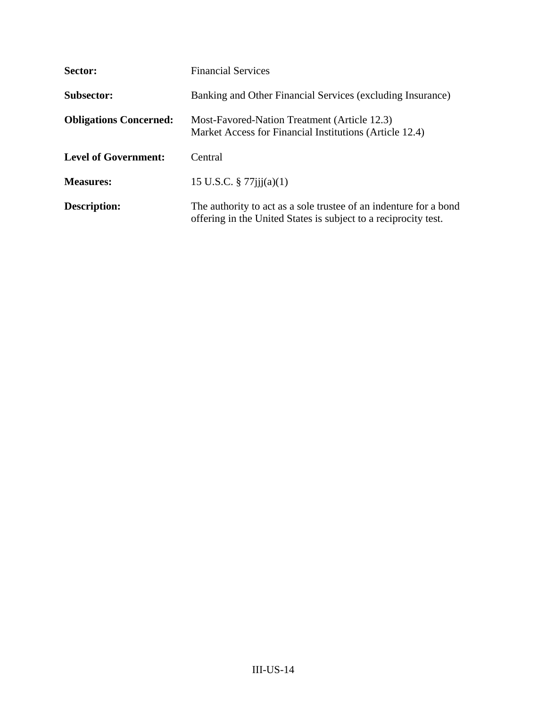| Sector:                       | <b>Financial Services</b>                                                                                                            |
|-------------------------------|--------------------------------------------------------------------------------------------------------------------------------------|
| <b>Subsector:</b>             | Banking and Other Financial Services (excluding Insurance)                                                                           |
| <b>Obligations Concerned:</b> | Most-Favored-Nation Treatment (Article 12.3)<br>Market Access for Financial Institutions (Article 12.4)                              |
| <b>Level of Government:</b>   | Central                                                                                                                              |
| <b>Measures:</b>              | 15 U.S.C. $\frac{8}{77}$ 7/jjj(a)(1)                                                                                                 |
| <b>Description:</b>           | The authority to act as a sole trustee of an indenture for a bond<br>offering in the United States is subject to a reciprocity test. |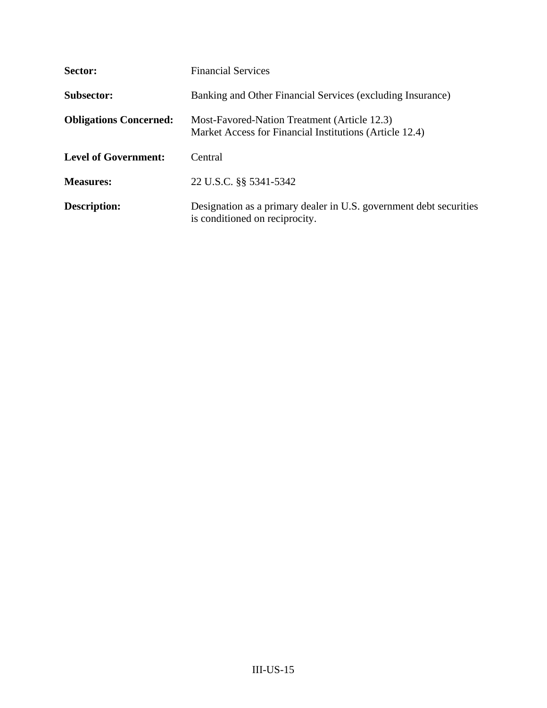| Sector:                       | <b>Financial Services</b>                                                                               |
|-------------------------------|---------------------------------------------------------------------------------------------------------|
| <b>Subsector:</b>             | Banking and Other Financial Services (excluding Insurance)                                              |
| <b>Obligations Concerned:</b> | Most-Favored-Nation Treatment (Article 12.3)<br>Market Access for Financial Institutions (Article 12.4) |
| <b>Level of Government:</b>   | Central                                                                                                 |
| <b>Measures:</b>              | 22 U.S.C. §§ 5341-5342                                                                                  |
| <b>Description:</b>           | Designation as a primary dealer in U.S. government debt securities<br>is conditioned on reciprocity.    |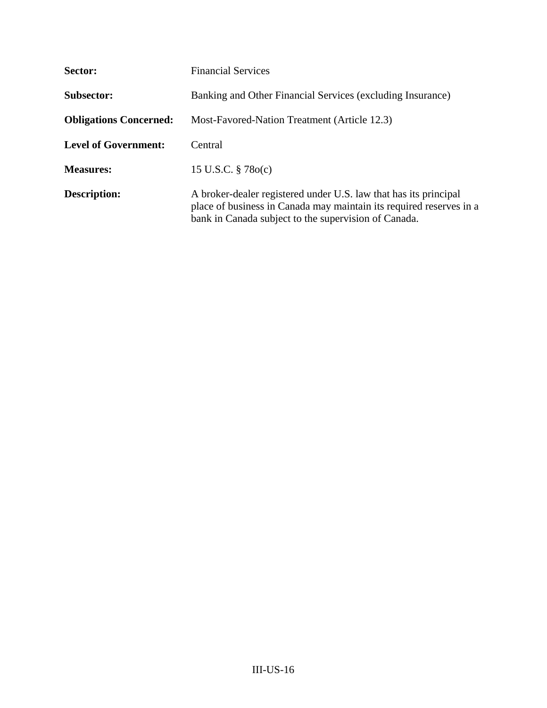| Sector:                       | <b>Financial Services</b>                                                                                                                                                                       |
|-------------------------------|-------------------------------------------------------------------------------------------------------------------------------------------------------------------------------------------------|
| <b>Subsector:</b>             | Banking and Other Financial Services (excluding Insurance)                                                                                                                                      |
| <b>Obligations Concerned:</b> | Most-Favored-Nation Treatment (Article 12.3)                                                                                                                                                    |
| <b>Level of Government:</b>   | Central                                                                                                                                                                                         |
| <b>Measures:</b>              | 15 U.S.C. $\S 78o(c)$                                                                                                                                                                           |
| <b>Description:</b>           | A broker-dealer registered under U.S. law that has its principal<br>place of business in Canada may maintain its required reserves in a<br>bank in Canada subject to the supervision of Canada. |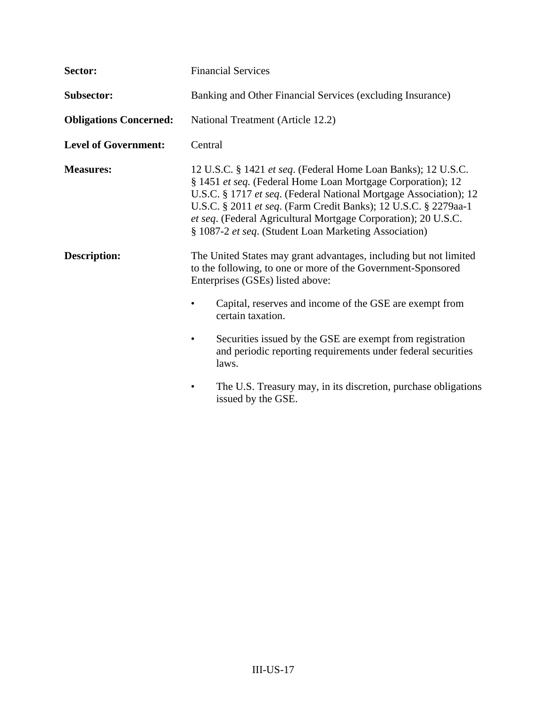| Sector:                       | <b>Financial Services</b>                                                                                                                                                                                                                                                                                                                                                                       |
|-------------------------------|-------------------------------------------------------------------------------------------------------------------------------------------------------------------------------------------------------------------------------------------------------------------------------------------------------------------------------------------------------------------------------------------------|
| Subsector:                    | Banking and Other Financial Services (excluding Insurance)                                                                                                                                                                                                                                                                                                                                      |
| <b>Obligations Concerned:</b> | National Treatment (Article 12.2)                                                                                                                                                                                                                                                                                                                                                               |
| <b>Level of Government:</b>   | Central                                                                                                                                                                                                                                                                                                                                                                                         |
| <b>Measures:</b>              | 12 U.S.C. § 1421 et seq. (Federal Home Loan Banks); 12 U.S.C.<br>§ 1451 et seq. (Federal Home Loan Mortgage Corporation); 12<br>U.S.C. § 1717 et seq. (Federal National Mortgage Association); 12<br>U.S.C. § 2011 et seq. (Farm Credit Banks); 12 U.S.C. § 2279aa-1<br>et seq. (Federal Agricultural Mortgage Corporation); 20 U.S.C.<br>§ 1087-2 et seq. (Student Loan Marketing Association) |
| <b>Description:</b>           | The United States may grant advantages, including but not limited<br>to the following, to one or more of the Government-Sponsored<br>Enterprises (GSEs) listed above:                                                                                                                                                                                                                           |
|                               | Capital, reserves and income of the GSE are exempt from<br>certain taxation.                                                                                                                                                                                                                                                                                                                    |
|                               | Securities issued by the GSE are exempt from registration<br>and periodic reporting requirements under federal securities<br>laws.                                                                                                                                                                                                                                                              |
|                               | The U.S. Treasury may, in its discretion, purchase obligations<br>٠<br>issued by the GSE.                                                                                                                                                                                                                                                                                                       |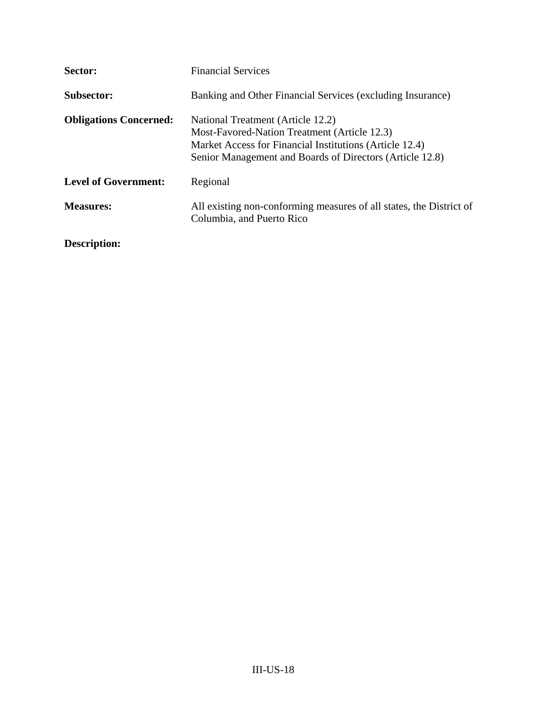| Sector:                       | <b>Financial Services</b>                                                                                                                                                                                |
|-------------------------------|----------------------------------------------------------------------------------------------------------------------------------------------------------------------------------------------------------|
| <b>Subsector:</b>             | Banking and Other Financial Services (excluding Insurance)                                                                                                                                               |
| <b>Obligations Concerned:</b> | National Treatment (Article 12.2)<br>Most-Favored-Nation Treatment (Article 12.3)<br>Market Access for Financial Institutions (Article 12.4)<br>Senior Management and Boards of Directors (Article 12.8) |
| <b>Level of Government:</b>   | Regional                                                                                                                                                                                                 |
| <b>Measures:</b>              | All existing non-conforming measures of all states, the District of<br>Columbia, and Puerto Rico                                                                                                         |
| Description:                  |                                                                                                                                                                                                          |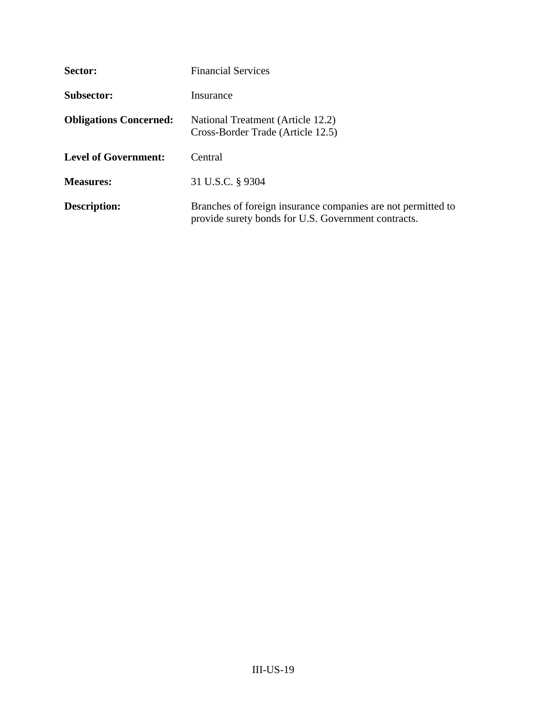| Sector:                       | <b>Financial Services</b>                                                                                           |
|-------------------------------|---------------------------------------------------------------------------------------------------------------------|
| <b>Subsector:</b>             | Insurance                                                                                                           |
| <b>Obligations Concerned:</b> | National Treatment (Article 12.2)<br>Cross-Border Trade (Article 12.5)                                              |
| <b>Level of Government:</b>   | Central                                                                                                             |
| <b>Measures:</b>              | 31 U.S.C. § 9304                                                                                                    |
| <b>Description:</b>           | Branches of foreign insurance companies are not permitted to<br>provide surety bonds for U.S. Government contracts. |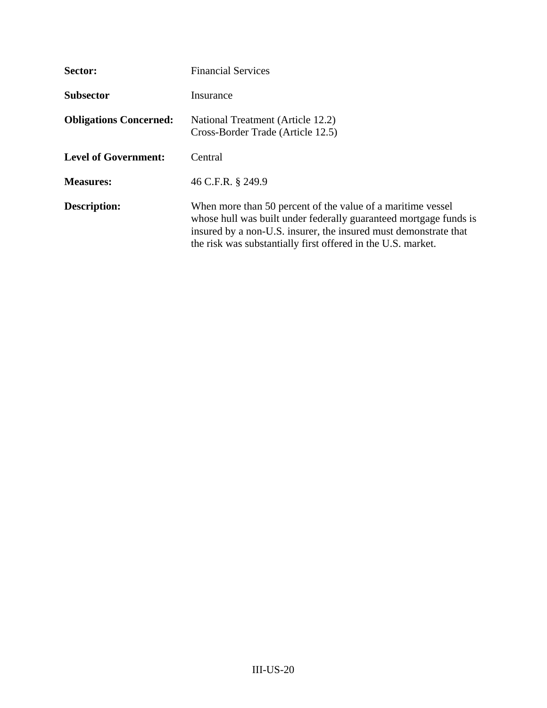| Sector:                       | <b>Financial Services</b>                                                                                                                                                                                                                                            |
|-------------------------------|----------------------------------------------------------------------------------------------------------------------------------------------------------------------------------------------------------------------------------------------------------------------|
| <b>Subsector</b>              | Insurance                                                                                                                                                                                                                                                            |
| <b>Obligations Concerned:</b> | National Treatment (Article 12.2)<br>Cross-Border Trade (Article 12.5)                                                                                                                                                                                               |
| <b>Level of Government:</b>   | Central                                                                                                                                                                                                                                                              |
| <b>Measures:</b>              | 46 C.F.R. § 249.9                                                                                                                                                                                                                                                    |
| <b>Description:</b>           | When more than 50 percent of the value of a maritime vessel<br>whose hull was built under federally guaranteed mortgage funds is<br>insured by a non-U.S. insurer, the insured must demonstrate that<br>the risk was substantially first offered in the U.S. market. |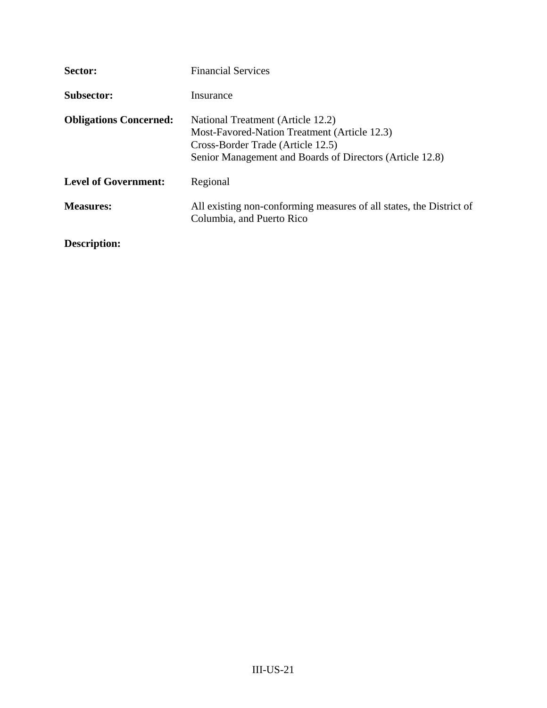| Sector:                       | <b>Financial Services</b>                                                                                                                                                          |
|-------------------------------|------------------------------------------------------------------------------------------------------------------------------------------------------------------------------------|
| <b>Subsector:</b>             | Insurance                                                                                                                                                                          |
| <b>Obligations Concerned:</b> | National Treatment (Article 12.2)<br>Most-Favored-Nation Treatment (Article 12.3)<br>Cross-Border Trade (Article 12.5)<br>Senior Management and Boards of Directors (Article 12.8) |
| <b>Level of Government:</b>   | Regional                                                                                                                                                                           |
| <b>Measures:</b>              | All existing non-conforming measures of all states, the District of<br>Columbia, and Puerto Rico                                                                                   |
| Description:                  |                                                                                                                                                                                    |